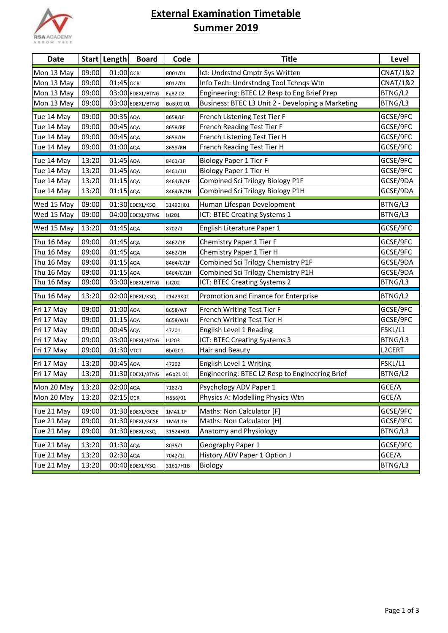

## **External Examination Timetable Summer 2019**

| <b>Date</b> |       | Start   Length | <b>Board</b>     | Code            | <b>Title</b>                                      | <b>Level</b>        |
|-------------|-------|----------------|------------------|-----------------|---------------------------------------------------|---------------------|
| Mon 13 May  | 09:00 | 01:00 OCR      |                  | R001/01         | Ict: Undrstnd Cmptr Sys Written                   | <b>CNAT/1&amp;2</b> |
| Mon 13 May  | 09:00 | 01:45 OCR      |                  | R012/01         | Info Tech: Undrstndng Tool Tchnqs Wtn             | <b>CNAT/1&amp;2</b> |
| Mon 13 May  | 09:00 |                | 03:00 EDEXL/BTNG | EgB2 02         | Engineering: BTEC L2 Resp to Eng Brief Prep       | BTNG/L2             |
| Mon 13 May  | 09:00 |                | 03:00 EDEXL/BTNG | <b>BuBt0201</b> | Business: BTEC L3 Unit 2 - Developing a Marketing | BTNG/L3             |
| Tue 14 May  | 09:00 | 00:35 AQA      |                  | 8658/LF         | French Listening Test Tier F                      | GCSE/9FC            |
| Tue 14 May  | 09:00 | 00:45 AQA      |                  | 8658/RF         | French Reading Test Tier F                        | GCSE/9FC            |
| Tue 14 May  | 09:00 | 00:45 AQA      |                  | 8658/LH         | French Listening Test Tier H                      | GCSE/9FC            |
| Tue 14 May  | 09:00 | $01:00$ AQA    |                  | 8658/RH         | French Reading Test Tier H                        | GCSE/9FC            |
| Tue 14 May  | 13:20 | 01:45 AQA      |                  | 8461/1F         | <b>Biology Paper 1 Tier F</b>                     | GCSE/9FC            |
| Tue 14 May  | 13:20 | 01:45 AQA      |                  | 8461/1H         | Biology Paper 1 Tier H                            | GCSE/9FC            |
| Tue 14 May  | 13:20 | $01:15$ AQA    |                  | 8464/B/1F       | Combined Sci Trilogy Biology P1F                  | GCSE/9DA            |
| Tue 14 May  | 13:20 | $01:15$ AQA    |                  | 8464/B/1H       | Combined Sci Trilogy Biology P1H                  | GCSE/9DA            |
| Wed 15 May  | 09:00 |                | 01:30 EDEXL/KSQ  | 31490H01        | Human Lifespan Development                        | BTNG/L3             |
| Wed 15 May  | 09:00 |                | 04:00 EDEXL/BTNG | <b>Isl201</b>   | ICT: BTEC Creating Systems 1                      | BTNG/L3             |
| Wed 15 May  | 13:20 | 01:45 AQA      |                  | 8702/1          | English Literature Paper 1                        | GCSE/9FC            |
| Thu 16 May  | 09:00 | 01:45 AQA      |                  | 8462/1F         | Chemistry Paper 1 Tier F                          | GCSE/9FC            |
| Thu 16 May  | 09:00 | 01:45 AQA      |                  | 8462/1H         | Chemistry Paper 1 Tier H                          | GCSE/9FC            |
| Thu 16 May  | 09:00 | $01:15$ AQA    |                  | 8464/C/1F       | Combined Sci Trilogy Chemistry P1F                | GCSE/9DA            |
| Thu 16 May  | 09:00 | 01:15 AQA      |                  | 8464/C/1H       | Combined Sci Trilogy Chemistry P1H                | GCSE/9DA            |
| Thu 16 May  | 09:00 |                | 03:00 EDEXL/BTNG | <b>Isl202</b>   | ICT: BTEC Creating Systems 2                      | BTNG/L3             |
| Thu 16 May  | 13:20 |                | 02:00 EDEXL/KSQ  | 21429K01        | Promotion and Finance for Enterprise              | BTNG/L2             |
| Fri 17 May  | 09:00 | $01:00$ AQA    |                  | 8658/WF         | French Writing Test Tier F                        | GCSE/9FC            |
| Fri 17 May  | 09:00 | $01:15$ AQA    |                  | 8658/WH         | French Writing Test Tier H                        | GCSE/9FC            |
| Fri 17 May  | 09:00 | 00:45 AQA      |                  | 47201           | English Level 1 Reading                           | FSKL/L1             |
| Fri 17 May  | 09:00 |                | 03:00 EDEXL/BTNG | <b>Isl203</b>   | ICT: BTEC Creating Systems 3                      | BTNG/L3             |
| Fri 17 May  | 09:00 | 01:30 VTCT     |                  | Bb0201          | Hair and Beauty                                   | L2CERT              |
| Fri 17 May  | 13:20 | 00:45 AQA      |                  | 47202           | English Level 1 Writing                           | FSKL/L1             |
| Fri 17 May  | 13:20 |                | 01:30 EDEXL/BTNG | eGb2101         | Engineering: BTEC L2 Resp to Engineering Brief    | BTNG/L2             |
| Mon 20 May  | 13:20 | 02:00 AQA      |                  | 7182/1          | Psychology ADV Paper 1                            | GCE/A               |
| Mon 20 May  | 13:20 | $02:15$ OCR    |                  | H556/01         | Physics A: Modelling Physics Wtn                  | GCE/A               |
| Tue 21 May  | 09:00 |                | 01:30 EDEXL/GCSE | 1MA1 1F         | Maths: Non Calculator [F]                         | GCSE/9FC            |
| Tue 21 May  | 09:00 |                | 01:30 EDEXL/GCSE | 1MA1 1H         | Maths: Non Calculator [H]                         | GCSE/9FC            |
| Tue 21 May  | 09:00 |                | 01:30 EDEXL/KSQ  | 31524H01        | Anatomy and Physiology                            | BTNG/L3             |
| Tue 21 May  | 13:20 | 01:30 AQA      |                  | 8035/1          | Geography Paper 1                                 | GCSE/9FC            |
| Tue 21 May  | 13:20 | 02:30 AQA      |                  | 7042/1J         | History ADV Paper 1 Option J                      | GCE/A               |
| Tue 21 May  | 13:20 |                | 00:40 EDEXL/KSQ  | 31617H1B        | Biology                                           | BTNG/L3             |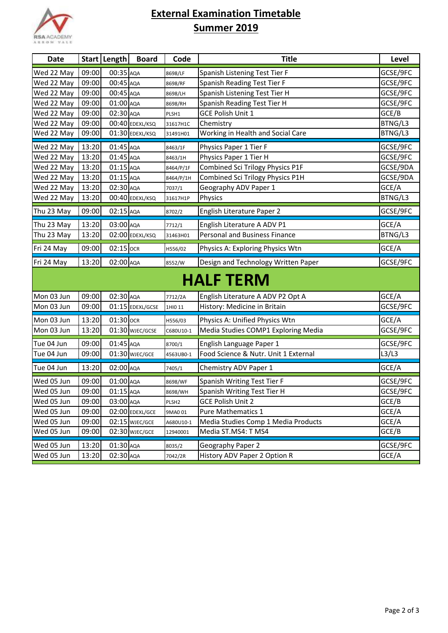

## **External Examination Timetable Summer 2019**

| <b>Date</b>      |       | Start   Length | <b>Board</b>     | Code              | <b>Title</b>                         | Level    |  |
|------------------|-------|----------------|------------------|-------------------|--------------------------------------|----------|--|
| Wed 22 May       | 09:00 | 00:35 AQA      |                  | 8698/LF           | Spanish Listening Test Tier F        | GCSE/9FC |  |
| Wed 22 May       | 09:00 | 00:45 AQA      |                  | 8698/RF           | Spanish Reading Test Tier F          | GCSE/9FC |  |
| Wed 22 May       | 09:00 | 00:45 AQA      |                  | 8698/LH           | Spanish Listening Test Tier H        | GCSE/9FC |  |
| Wed 22 May       | 09:00 | 01:00 AQA      |                  | 8698/RH           | Spanish Reading Test Tier H          | GCSE/9FC |  |
| Wed 22 May       | 09:00 | 02:30 AQA      |                  | PLSH1             | <b>GCE Polish Unit 1</b>             | GCE/B    |  |
| Wed 22 May       | 09:00 |                | 00:40 EDEXL/KSQ  | 31617H1C          | Chemistry                            | BTNG/L3  |  |
| Wed 22 May       | 09:00 |                | 01:30 EDEXL/KSQ  | 31491H01          | Working in Health and Social Care    | BTNG/L3  |  |
| Wed 22 May       | 13:20 | 01:45 AQA      |                  | 8463/1F           | Physics Paper 1 Tier F               | GCSE/9FC |  |
| Wed 22 May       | 13:20 | 01:45 AQA      |                  | 8463/1H           | Physics Paper 1 Tier H               | GCSE/9FC |  |
| Wed 22 May       | 13:20 | $01:15$ AQA    |                  | 8464/P/1F         | Combined Sci Trilogy Physics P1F     | GCSE/9DA |  |
| Wed 22 May       | 13:20 | $01:15$ AQA    |                  | 8464/P/1H         | Combined Sci Trilogy Physics P1H     | GCSE/9DA |  |
| Wed 22 May       | 13:20 | 02:30 AQA      |                  | 7037/1            | Geography ADV Paper 1                | GCE/A    |  |
| Wed 22 May       | 13:20 |                | 00:40 EDEXL/KSQ  | 31617H1P          | Physics                              | BTNG/L3  |  |
| Thu 23 May       | 09:00 | 02:15 AQA      |                  | 8702/2            | English Literature Paper 2           | GCSE/9FC |  |
| Thu 23 May       | 13:20 | 03:00 AQA      |                  | 7712/1            | English Literature A ADV P1          | GCE/A    |  |
| Thu 23 May       | 13:20 |                | 02:00 EDEXL/KSQ  | 31463H01          | <b>Personal and Business Finance</b> | BTNG/L3  |  |
| Fri 24 May       | 09:00 | 02:15 OCR      |                  | H556/02           | Physics A: Exploring Physics Wtn     | GCE/A    |  |
| Fri 24 May       | 13:20 | 02:00 AQA      |                  | 8552/W            | Design and Technology Written Paper  | GCSE/9FC |  |
| <b>HALF TERM</b> |       |                |                  |                   |                                      |          |  |
| Mon 03 Jun       | 09:00 | 02:30 AQA      |                  | 7712/2A           | English Literature A ADV P2 Opt A    | GCE/A    |  |
| Mon 03 Jun       | 09:00 |                | 01:15 EDEXL/GCSE | 1HI0 11           | History: Medicine in Britain         | GCSE/9FC |  |
| Mon 03 Jun       | 13:20 | 01:30 OCR      |                  | H556/03           | Physics A: Unified Physics Wtn       | GCE/A    |  |
| Mon 03 Jun       | 13:20 |                | 01:30 WJEC/GCSE  | C680U10-1         | Media Studies COMP1 Exploring Media  | GCSE/9FC |  |
| Tue 04 Jun       | 09:00 | 01:45 AQA      |                  | 8700/1            | English Language Paper 1             | GCSE/9FC |  |
| Tue 04 Jun       | 09:00 |                | 01:30 WJEC/GCE   | 4563UB0-1         | Food Science & Nutr. Unit 1 External | L3/L3    |  |
| Tue 04 Jun       | 13:20 | 02:00 AQA      |                  | 7405/1            | Chemistry ADV Paper 1                | GCE/A    |  |
| Wed 05 Jun       | 09:00 | 01:00 AQA      |                  | 8698/WF           | Spanish Writing Test Tier F          | GCSE/9FC |  |
| Wed 05 Jun       | 09:00 | $01:15$ AQA    |                  | 8698/WH           | Spanish Writing Test Tier H          | GCSE/9FC |  |
| Wed 05 Jun       | 09:00 | 03:00 AQA      |                  | PLSH <sub>2</sub> | <b>GCE Polish Unit 2</b>             | GCE/B    |  |
| Wed 05 Jun       | 09:00 |                | 02:00 EDEXL/GCE  | 9MA0 01           | Pure Mathematics 1                   | GCE/A    |  |
| Wed 05 Jun       | 09:00 |                | 02:15 WJEC/GCE   | A680U10-1         | Media Studies Comp 1 Media Products  | GCE/A    |  |
| Wed 05 Jun       | 09:00 |                | 02:30 WJEC/GCE   | 12940001          | Media ST.MS4: T MS4                  | GCE/B    |  |
| Wed 05 Jun       | 13:20 | 01:30 AQA      |                  | 8035/2            | Geography Paper 2                    | GCSE/9FC |  |
| Wed 05 Jun       | 13:20 | 02:30 AQA      |                  | 7042/2R           | History ADV Paper 2 Option R         | GCE/A    |  |